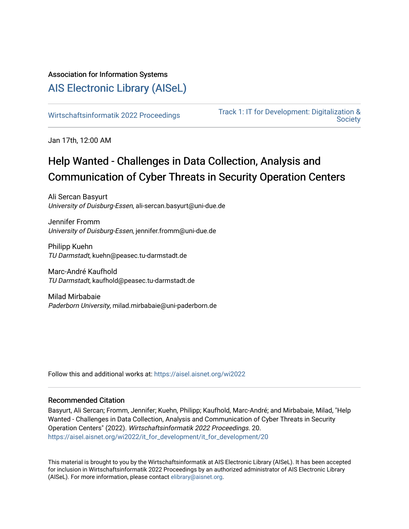# Association for Information Systems

# [AIS Electronic Library \(AISeL\)](https://aisel.aisnet.org/)

[Wirtschaftsinformatik 2022 Proceedings](https://aisel.aisnet.org/wi2022) [Track 1: IT for Development: Digitalization &](https://aisel.aisnet.org/wi2022/it_for_development)  **Society** 

Jan 17th, 12:00 AM

# Help Wanted - Challenges in Data Collection, Analysis and Communication of Cyber Threats in Security Operation Centers

Ali Sercan Basyurt University of Duisburg-Essen, ali-sercan.basyurt@uni-due.de

Jennifer Fromm University of Duisburg-Essen, jennifer.fromm@uni-due.de

Philipp Kuehn TU Darmstadt, kuehn@peasec.tu-darmstadt.de

Marc-André Kaufhold TU Darmstadt, kaufhold@peasec.tu-darmstadt.de

Milad Mirbabaie Paderborn University, milad.mirbabaie@uni-paderborn.de

Follow this and additional works at: [https://aisel.aisnet.org/wi2022](https://aisel.aisnet.org/wi2022?utm_source=aisel.aisnet.org%2Fwi2022%2Fit_for_development%2Fit_for_development%2F20&utm_medium=PDF&utm_campaign=PDFCoverPages) 

## Recommended Citation

Basyurt, Ali Sercan; Fromm, Jennifer; Kuehn, Philipp; Kaufhold, Marc-André; and Mirbabaie, Milad, "Help Wanted - Challenges in Data Collection, Analysis and Communication of Cyber Threats in Security Operation Centers" (2022). Wirtschaftsinformatik 2022 Proceedings. 20. [https://aisel.aisnet.org/wi2022/it\\_for\\_development/it\\_for\\_development/20](https://aisel.aisnet.org/wi2022/it_for_development/it_for_development/20?utm_source=aisel.aisnet.org%2Fwi2022%2Fit_for_development%2Fit_for_development%2F20&utm_medium=PDF&utm_campaign=PDFCoverPages) 

This material is brought to you by the Wirtschaftsinformatik at AIS Electronic Library (AISeL). It has been accepted for inclusion in Wirtschaftsinformatik 2022 Proceedings by an authorized administrator of AIS Electronic Library (AISeL). For more information, please contact [elibrary@aisnet.org](mailto:elibrary@aisnet.org%3E).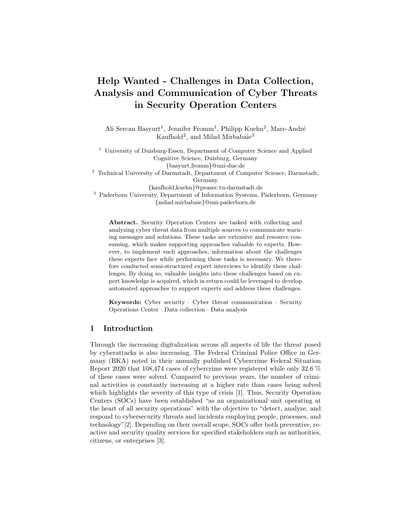# Help Wanted - Challenges in Data Collection, Analysis and Communication of Cyber Threats in Security Operation Centers

Ali Sercan Basyurt<sup>1</sup>, Jennifer Fromm<sup>1</sup>, Philipp Kuehn<sup>2</sup>, Marc-André Kaufhold<sup>2</sup>, and Milad Mirbabaie<sup>3</sup>

<sup>1</sup> University of Duisburg-Essen, Department of Computer Science and Applied Cognitive Science, Duisburg, Germany {basyurt,fromm}@uni-due.de <sup>2</sup> Technical University of Darmstadt, Department of Computer Science, Darmstadt, Germany {kaufhold,kuehn}@peasec.tu-darmstadt.de <sup>3</sup> Paderborn University, Department of Information Systems, Paderborn, Germany {milad.mirbabaie}@uni-paderborn.de

Abstract. Security Operation Centers are tasked with collecting and analyzing cyber threat data from multiple sources to communicate warning messages and solutions. These tasks are extensive and resource consuming, which makes supporting approaches valuable to experts. However, to implement such approaches, information about the challenges these experts face while performing these tasks is necessary. We therefore conducted semi-structured expert interviews to identify these challenges. By doing so, valuable insights into these challenges based on expert knowledge is acquired, which in return could be leveraged to develop automated approaches to support experts and address these challenges.

Keywords: Cyber security · Cyber threat communication · Security Operations Center · Data collection · Data analysis

## 1 Introduction

Through the increasing digitalization across all aspects of life the threat posed by cyberattacks is also increasing. The Federal Criminal Police Office in Germany (BKA) noted in their annually published Cybercrime Federal Situation Report 2020 that 108,474 cases of cybercrime were registered while only 32.6 % of these cases were solved. Compared to previous years, the number of criminal activities is constantly increasing at a higher rate than cases being solved which highlights the severity of this type of crisis [1]. Thus, Security Operation Centers (SOCs) have been established "as an organizational unit operating at the heart of all security operations" with the objective to "detect, analyze, and respond to cybersecurity threats and incidents employing people, processes, and technology"[2]. Depending on their overall scope, SOCs offer both preventive, reactive and security quality services for specified stakeholders such as authorities, citizens, or enterprises [3].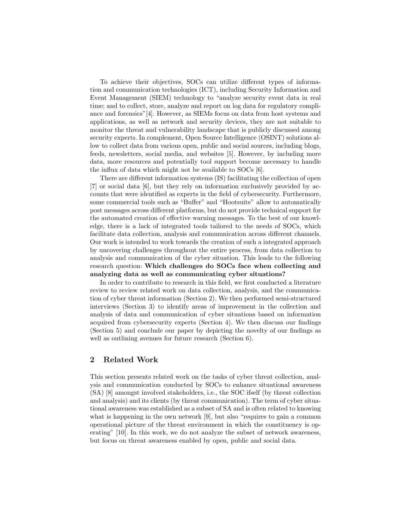To achieve their objectives, SOCs can utilize different types of information and communication technologies (ICT), including Security Information and Event Management (SIEM) technology to "analyze security event data in real time; and to collect, store, analyze and report on log data for regulatory compliance and forensics"[4]. However, as SIEMs focus on data from host systems and applications, as well as network and security devices, they are not suitable to monitor the threat and vulnerability landscape that is publicly discussed among security experts. In complement, Open Source Intelligence (OSINT) solutions allow to collect data from various open, public and social sources, including blogs, feeds, newsletters, social media, and websites [5]. However, by including more data, more resources and potentially tool support become necessary to handle the influx of data which might not be available to SOCs [6].

There are different information systems (IS) facilitating the collection of open [7] or social data [6], but they rely on information exclusively provided by accounts that were identified as experts in the field of cybersecurity. Furthermore, some commercial tools such as "Buffer" and "Hootsuite" allow to automatically post messages across different platforms, but do not provide technical support for the automated creation of effective warning messages. To the best of our knowledge, there is a lack of integrated tools tailored to the needs of SOCs, which facilitate data collection, analysis and communication across different channels. Our work is intended to work towards the creation of such a integrated approach by uncovering challenges throughout the entire process, from data collection to analysis and communication of the cyber situation. This leads to the following research question: Which challenges do SOCs face when collecting and analyzing data as well as communicating cyber situations?

In order to contribute to research in this field, we first conducted a literature review to review related work on data collection, analysis, and the communication of cyber threat information (Section 2). We then performed semi-structured interviews (Section 3) to identify areas of improvement in the collection and analysis of data and communication of cyber situations based on information acquired from cybersecurity experts (Section 4). We then discuss our findings (Section 5) and conclude our paper by depicting the novelty of our findings as well as outlining avenues for future research (Section 6).

## 2 Related Work

This section presents related work on the tasks of cyber threat collection, analysis and communication conducted by SOCs to enhance situational awareness (SA) [8] amongst involved stakeholders, i.e., the SOC ifself (by threat collection and analysis) and its clients (by threat communication). The term of cyber situational awareness was established as a subset of SA and is often related to knowing what is happening in the own network [9], but also "requires to gain a common operational picture of the threat environment in which the constituency is operating" [10]. In this work, we do not analyze the subset of network awareness, but focus on threat awareness enabled by open, public and social data.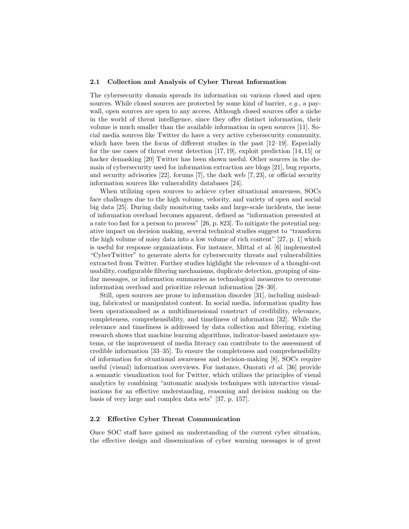#### 2.1 Collection and Analysis of Cyber Threat Information

The cybersecurity domain spreads its information on various closed and open sources. While closed sources are protected by some kind of barrier, e.g., a paywall, open sources are open to any access. Although closed sources offer a niche in the world of threat intelligence, since they offer distinct information, their volume is much smaller than the available information in open sources [11]. Social media sources like Twitter do have a very active cybersecurity community, which have been the focus of different studies in the past [12–19]. Especially for the use cases of threat event detection  $[17, 19]$ , exploit prediction  $[14, 15]$  or hacker demasking [20] Twitter has been shown useful. Other sources in the domain of cybersecurity used for information extraction are blogs [21], bug reports, and security advisories [22], forums [7], the dark web [7, 23], or official security information sources like vulnerability databases [24].

When utilizing open sources to achieve cyber situational awareness, SOCs face challenges due to the high volume, velocity, and variety of open and social big data [25]. During daily monitoring tasks and large-scale incidents, the issue of information overload becomes apparent, defined as "information presented at a rate too fast for a person to process" [26, p. 823]. To mitigate the potential negative impact on decision making, several technical studies suggest to "transform the high volume of noisy data into a low volume of rich content" [27, p. 1] which is useful for response organizations. For instance, Mittal  $et \ al.$  [6] implemented "CyberTwitter" to generate alerts for cybersecurity threats and vulnerabilities extracted from Twitter. Further studies highlight the relevance of a thought-out usability, configurable filtering mechanisms, duplicate detection, grouping of similar messages, or information summaries as technological measures to overcome information overload and prioritize relevant information [28–30].

Still, open sources are prone to information disorder [31], including misleading, fabricated or manipulated content. In social media, information quality has been operationalised as a multidimensional construct of credibility, relevance, completeness, comprehensibility, and timeliness of information [32]. While the relevance and timeliness is addressed by data collection and filtering, existing research shows that machine learning algorithms, indicator-based assistance systems, or the improvement of media literacy can contribute to the assessment of credible information [33–35]. To ensure the completeness and comprehensibility of information for situational awareness and decision-making [8], SOCs require useful (visual) information overviews. For instance, Onorati et al. [36] provide a semantic visualization tool for Twitter, which utilizes the principles of visual analytics by combining "automatic analysis techniques with interactive visualisations for an effective understanding, reasoning and decision making on the basis of very large and complex data sets" [37, p. 157].

#### 2.2 Effective Cyber Threat Communication

Once SOC staff have gained an understanding of the current cyber situation, the effective design and dissemination of cyber warning messages is of great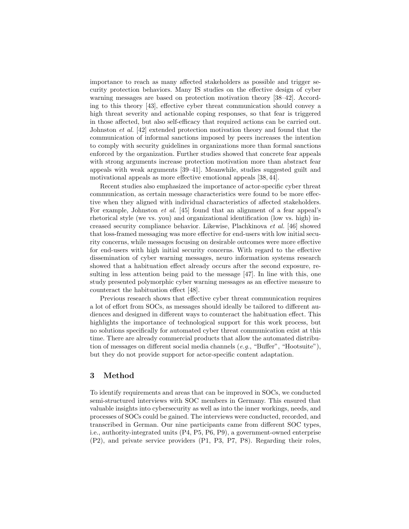importance to reach as many affected stakeholders as possible and trigger security protection behaviors. Many IS studies on the effective design of cyber warning messages are based on protection motivation theory [38–42]. According to this theory [43], effective cyber threat communication should convey a high threat severity and actionable coping responses, so that fear is triggered in those affected, but also self-efficacy that required actions can be carried out. Johnston et al. [42] extended protection motivation theory and found that the communication of informal sanctions imposed by peers increases the intention to comply with security guidelines in organizations more than formal sanctions enforced by the organization. Further studies showed that concrete fear appeals with strong arguments increase protection motivation more than abstract fear appeals with weak arguments [39–41]. Meanwhile, studies suggested guilt and motivational appeals as more effective emotional appeals [38, 44].

Recent studies also emphasized the importance of actor-specific cyber threat communication, as certain message characteristics were found to be more effective when they aligned with individual characteristics of affected stakeholders. For example, Johnston et al. [45] found that an alignment of a fear appeal's rhetorical style (we vs. you) and organizational identification (low vs. high) increased security compliance behavior. Likewise, Plachkinova et al. [46] showed that loss-framed messaging was more effective for end-users with low initial security concerns, while messages focusing on desirable outcomes were more effective for end-users with high initial security concerns. With regard to the effective dissemination of cyber warning messages, neuro information systems research showed that a habituation effect already occurs after the second exposure, resulting in less attention being paid to the message [47]. In line with this, one study presented polymorphic cyber warning messages as an effective measure to counteract the habituation effect [48].

Previous research shows that effective cyber threat communication requires a lot of effort from SOCs, as messages should ideally be tailored to different audiences and designed in different ways to counteract the habituation effect. This highlights the importance of technological support for this work process, but no solutions specifically for automated cyber threat communication exist at this time. There are already commercial products that allow the automated distribution of messages on different social media channels  $(e.g., "Buffer", "Hoot suite"),$ but they do not provide support for actor-specific content adaptation.

#### 3 Method

To identify requirements and areas that can be improved in SOCs, we conducted semi-structured interviews with SOC members in Germany. This ensured that valuable insights into cybersecurity as well as into the inner workings, needs, and processes of SOCs could be gained. The interviews were conducted, recorded, and transcribed in German. Our nine participants came from different SOC types, i.e., authority-integrated units (P4, P5, P6, P9), a government-owned enterprise (P2), and private service providers (P1, P3, P7, P8). Regarding their roles,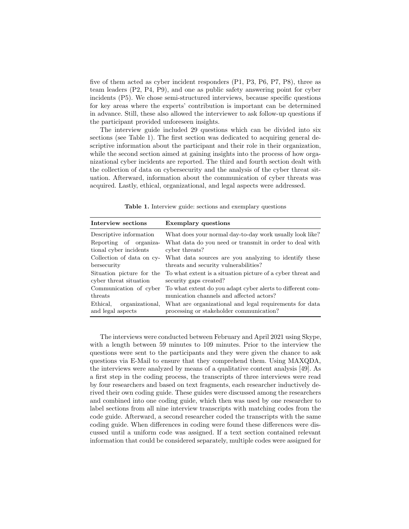five of them acted as cyber incident responders (P1, P3, P6, P7, P8), three as team leaders (P2, P4, P9), and one as public safety answering point for cyber incidents (P5). We chose semi-structured interviews, because specific questions for key areas where the experts' contribution is important can be determined in advance. Still, these also allowed the interviewer to ask follow-up questions if the participant provided unforeseen insights.

The interview guide included 29 questions which can be divided into six sections (see Table 1). The first section was dedicated to acquiring general descriptive information about the participant and their role in their organization, while the second section aimed at gaining insights into the process of how organizational cyber incidents are reported. The third and fourth section dealt with the collection of data on cybersecurity and the analysis of the cyber threat situation. Afterward, information about the communication of cyber threats was acquired. Lastly, ethical, organizational, and legal aspects were addressed.

| Interview sections                               | <b>Exemplary questions</b>                                                                          |
|--------------------------------------------------|-----------------------------------------------------------------------------------------------------|
| Descriptive information                          | What does your normal day-to-day work usually look like?                                            |
| Reporting of organiza-                           | What data do you need or transmit in order to deal with                                             |
| tional cyber incidents                           | cyber threats?                                                                                      |
| Collection of data on cy-                        | What data sources are you analyzing to identify these                                               |
| bersecurity                                      | threats and security vulnerabilities?                                                               |
| Situation picture for the                        | To what extent is a situation picture of a cyber threat and                                         |
| cyber threat situation                           | security gaps created?                                                                              |
| Communication of cyber                           | To what extent do you adapt cyber alerts to different com-                                          |
| threats                                          | munication channels and affected actors?                                                            |
| Ethical.<br>organizational,<br>and legal aspects | What are organizational and legal requirements for data<br>processing or stakeholder communication? |

Table 1. Interview guide: sections and exemplary questions

The interviews were conducted between February and April 2021 using Skype, with a length between 59 minutes to 109 minutes. Prior to the interview the questions were sent to the participants and they were given the chance to ask questions via E-Mail to ensure that they comprehend them. Using MAXQDA, the interviews were analyzed by means of a qualitative content analysis [49]. As a first step in the coding process, the transcripts of three interviews were read by four researchers and based on text fragments, each researcher inductively derived their own coding guide. These guides were discussed among the researchers and combined into one coding guide, which then was used by one researcher to label sections from all nine interview transcripts with matching codes from the code guide. Afterward, a second researcher coded the transcripts with the same coding guide. When differences in coding were found these differences were discussed until a uniform code was assigned. If a text section contained relevant information that could be considered separately, multiple codes were assigned for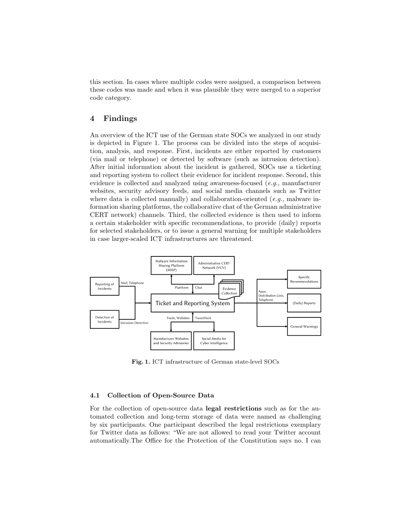this section. In cases where multiple codes were assigned, a comparison between these codes was made and when it was plausible they were merged to a superior code category.

#### 4 Findings

An overview of the ICT use of the German state SOCs we analyzed in our study is depicted in Figure 1. The process can be divided into the steps of acquisition, analysis, and response. First, incidents are either reported by customers (via mail or telephone) or detected by software (such as intrusion detection). After initial information about the incident is gathered, SOCs use a ticketing and reporting system to collect their evidence for incident response. Second, this evidence is collected and analyzed using awareness-focused (e.g., manufacturer websites, security advisory feeds, and social media channels such as Twitter where data is collected manually) and collaboration-oriented  $(e.g.,$  malware information sharing platforms, the collaborative chat of the German administrative CERT network) channels. Third, the collected evidence is then used to inform a certain stakeholder with specific recommendations, to provide (daily) reports for selected stakeholders, or to issue a general warning for multiple stakeholders in case larger-scaled ICT infrastructures are threatened.



Fig. 1. ICT infrastructure of German state-level SOCs

#### 4.1 Collection of Open-Source Data

For the collection of open-source data legal restrictions such as for the automated collection and long-term storage of data were named as challenging by six participants. One participant described the legal restrictions exemplary for Twitter data as follows: "We are not allowed to read your Twitter account automatically.The Office for the Protection of the Constitution says no. I can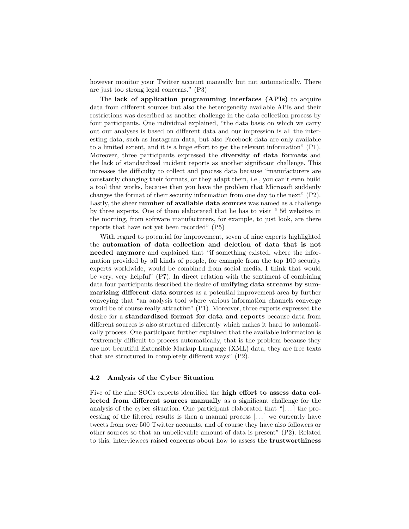however monitor your Twitter account manually but not automatically. There are just too strong legal concerns." (P3)

The lack of application programming interfaces (APIs) to acquire data from different sources but also the heterogeneity available APIs and their restrictions was described as another challenge in the data collection process by four participants. One individual explained, "the data basis on which we carry out our analyses is based on different data and our impression is all the interesting data, such as Instagram data, but also Facebook data are only available to a limited extent, and it is a huge effort to get the relevant information" (P1). Moreover, three participants expressed the diversity of data formats and the lack of standardized incident reports as another significant challenge. This increases the difficulty to collect and process data because "manufacturers are constantly changing their formats, or they adapt them, i.e., you can't even build a tool that works, because then you have the problem that Microsoft suddenly changes the format of their security information from one day to the next" (P2). Lastly, the sheer number of available data sources was named as a challenge by three experts. One of them elaborated that he has to visit " 56 websites in the morning, from software manufacturers, for example, to just look, are there reports that have not yet been recorded" (P5)

With regard to potential for improvement, seven of nine experts highlighted the automation of data collection and deletion of data that is not needed anymore and explained that "if something existed, where the information provided by all kinds of people, for example from the top 100 security experts worldwide, would be combined from social media. I think that would be very, very helpful" (P7). In direct relation with the sentiment of combining data four participants described the desire of unifying data streams by summarizing different data sources as a potential improvement area by further conveying that "an analysis tool where various information channels converge would be of course really attractive" (P1). Moreover, three experts expressed the desire for a standardized format for data and reports because data from different sources is also structured differently which makes it hard to automatically process. One participant further explained that the available information is "extremely difficult to process automatically, that is the problem because they are not beautiful Extensible Markup Language (XML) data, they are free texts that are structured in completely different ways" (P2).

#### 4.2 Analysis of the Cyber Situation

Five of the nine SOCs experts identified the high effort to assess data collected from different sources manually as a significant challenge for the analysis of the cyber situation. One participant elaborated that "[. . . ] the processing of the filtered results is then a manual process [. . . ] we currently have tweets from over 500 Twitter accounts, and of course they have also followers or other sources so that an unbelievable amount of data is present" (P2). Related to this, interviewees raised concerns about how to assess the trustworthiness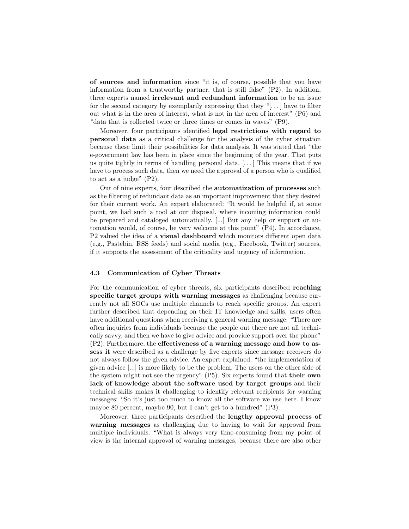of sources and information since "it is, of course, possible that you have information from a trustworthy partner, that is still false" (P2). In addition, three experts named irrelevant and redundant information to be an issue for the second category by exemplarily expressing that they "[ $\dots$ ] have to filter out what is in the area of interest, what is not in the area of interest" (P6) and "data that is collected twice or three times or comes in waves" (P9).

Moreover, four participants identified legal restrictions with regard to personal data as a critical challenge for the analysis of the cyber situation because these limit their possibilities for data analysis. It was stated that "the e-government law has been in place since the beginning of the year. That puts us quite tightly in terms of handling personal data.  $[\dots]$  This means that if we have to process such data, then we need the approval of a person who is qualified to act as a judge" (P2).

Out of nine experts, four described the automatization of processes such as the filtering of redundant data as an important improvement that they desired for their current work. An expert elaborated: "It would be helpful if, at some point, we had such a tool at our disposal, where incoming information could be prepared and cataloged automatically. [...] But any help or support or automation would, of course, be very welcome at this point" (P4). In accordance, P2 valued the idea of a **visual dashboard** which monitors different open data (e.g., Pastebin, RSS feeds) and social media (e.g., Facebook, Twitter) sources, if it supports the assessment of the criticality and urgency of information.

#### 4.3 Communication of Cyber Threats

For the communication of cyber threats, six participants described reaching specific target groups with warning messages as challenging because currently not all SOCs use multiple channels to reach specific groups. An expert further described that depending on their IT knowledge and skills, users often have additional questions when receiving a general warning message: "There are often inquiries from individuals because the people out there are not all technically savvy, and then we have to give advice and provide support over the phone" (P2). Furthermore, the effectiveness of a warning message and how to assess it were described as a challenge by five experts since message receivers do not always follow the given advice. An expert explained: "the implementation of given advice [...] is more likely to be the problem. The users on the other side of the system might not see the urgency" (P5). Six experts found that their own lack of knowledge about the software used by target groups and their technical skills makes it challenging to identify relevant recipients for warning messages: "So it's just too much to know all the software we use here. I know maybe 80 percent, maybe 90, but I can't get to a hundred" (P3).

Moreover, three participants described the lengthy approval process of warning messages as challenging due to having to wait for approval from multiple individuals. "What is always very time-consuming from my point of view is the internal approval of warning messages, because there are also other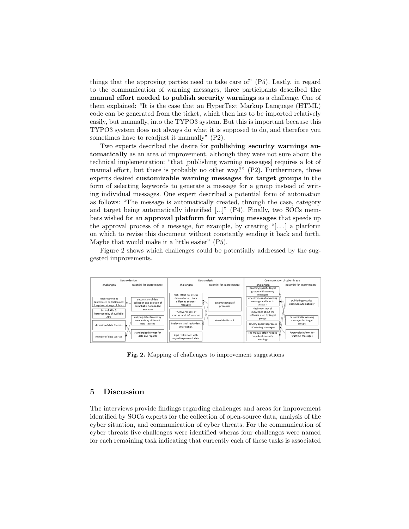things that the approving parties need to take care of" (P5). Lastly, in regard to the communication of warning messages, three participants described the manual effort needed to publish security warnings as a challenge. One of them explained: "It is the case that an HyperText Markup Language (HTML) code can be generated from the ticket, which then has to be imported relatively easily, but manually, into the TYPO3 system. But this is important because this TYPO3 system does not always do what it is supposed to do, and therefore you sometimes have to readjust it manually" (P2).

Two experts described the desire for publishing security warnings automatically as an area of improvement, although they were not sure about the technical implementation: "that [publishing warning messages] requires a lot of manual effort, but there is probably no other way?" (P2). Furthermore, three experts desired customizable warning messages for target groups in the form of selecting keywords to generate a message for a group instead of writing individual messages. One expert described a potential form of automation as follows: "The message is automatically created, through the case, category and target being automatically identified [...]" (P4). Finally, two SOCs members wished for an approval platform for warning messages that speeds up the approval process of a message, for example, by creating "[ $\dots$ ] a platform on which to revise this document without constantly sending it back and forth. Maybe that would make it a little easier" (P5).

Figure 2 shows which challenges could be potentially addressed by the suggested improvements.



Fig. 2. Mapping of challenges to improvement suggestions

### 5 Discussion

The interviews provide findings regarding challenges and areas for improvement identified by SOCs experts for the collection of open-source data, analysis of the cyber situation, and communication of cyber threats. For the communication of cyber threats five challenges were identified wheras four challenges were named for each remaining task indicating that currently each of these tasks is associated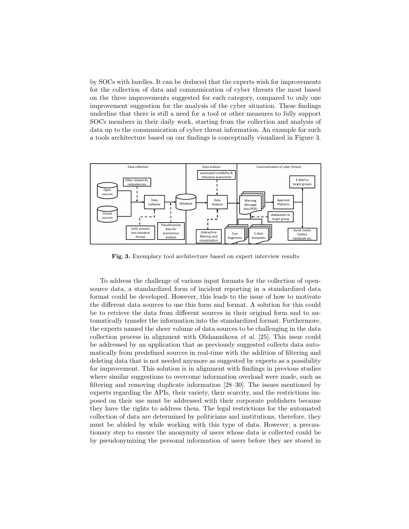by SOCs with hurdles. It can be deduced that the experts wish for improvements for the collection of data and communication of cyber threats the most based on the three improvements suggested for each category, compared to only one improvement suggestion for the analysis of the cyber situation. These findings underline that there is still a need for a tool or other measures to fully support SOCs members in their daily work, starting from the collection and analysis of data up to the communication of cyber threat information. An example for such a tools architecture based on our findings is conceptually visualized in Figure 3.



Fig. 3. Exemplary tool architecture based on expert interview results

To address the challenge of various input formats for the collection of opensource data, a standardized form of incident reporting in a standardized data format could be developed. However, this leads to the issue of how to motivate the different data sources to use this form and format. A solution for this could be to retrieve the data from different sources in their original form and to automatically transfer the information into the standardized format. Furthermore, the experts named the sheer volume of data sources to be challenging in the data collection process in alignment with Olshannikova et al. [25]. This issue could be addressed by an application that as previously suggested collects data automatically from predefined sources in real-time with the addition of filtering and deleting data that is not needed anymore as suggested by experts as a possibility for improvement. This solution is in alignment with findings in previous studies where similar suggestions to overcome information overload were made, such as filtering and removing duplicate information [28–30]. The issues mentioned by experts regarding the APIs, their variety, their scarcity, and the restrictions imposed on their use must be addressed with their corporate publishers because they have the rights to address them. The legal restrictions for the automated collection of data are determined by politicians and institutions, therefore, they must be abided by while working with this type of data. However, a precautionary step to ensure the anonymity of users whose data is collected could be by pseudonymizing the personal information of users before they are stored in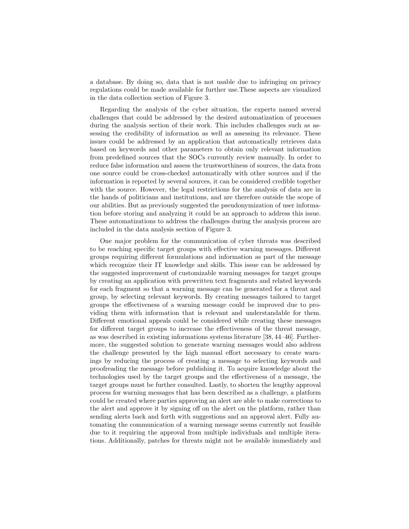a database. By doing so, data that is not usable due to infringing on privacy regulations could be made available for further use.These aspects are visualized in the data collection section of Figure 3.

Regarding the analysis of the cyber situation, the experts named several challenges that could be addressed by the desired automatization of processes during the analysis section of their work. This includes challenges such as assessing the credibility of information as well as assessing its relevance. These issues could be addressed by an application that automatically retrieves data based on keywords and other parameters to obtain only relevant information from predefined sources that the SOCs currently review manually. In order to reduce false information and assess the trustworthiness of sources, the data from one source could be cross-checked automatically with other sources and if the information is reported by several sources, it can be considered credible together with the source. However, the legal restrictions for the analysis of data are in the hands of politicians and institutions, and are therefore outside the scope of our abilities. But as previously suggested the pseudonymization of user information before storing and analyzing it could be an approach to address this issue. These automatizations to address the challenges during the analysis process are included in the data analysis section of Figure 3.

One major problem for the communication of cyber threats was described to be reaching specific target groups with effective warning messages. Different groups requiring different formulations and information as part of the message which recognize their IT knowledge and skills. This issue can be addressed by the suggested improvement of customizable warning messages for target groups by creating an application with prewritten text fragments and related keywords for each fragment so that a warning message can be generated for a threat and group, by selecting relevant keywords. By creating messages tailored to target groups the effectiveness of a warning message could be improved due to providing them with information that is relevant and understandable for them. Different emotional appeals could be considered while creating these messages for different target groups to increase the effectiveness of the threat message, as was described in existing informations systems literature [38, 44–46]. Furthermore, the suggested solution to generate warning messages would also address the challenge presented by the high manual effort necessary to create warnings by reducing the process of creating a message to selecting keywords and proofreading the message before publishing it. To acquire knowledge about the technologies used by the target groups and the effectiveness of a message, the target groups must be further consulted. Lastly, to shorten the lengthy approval process for warning messages that has been described as a challenge, a platform could be created where parties approving an alert are able to make corrections to the alert and approve it by signing off on the alert on the platform, rather than sending alerts back and forth with suggestions and an approval alert. Fully automating the communication of a warning message seems currently not feasible due to it requiring the approval from multiple individuals and multiple iterations. Additionally, patches for threats might not be available immediately and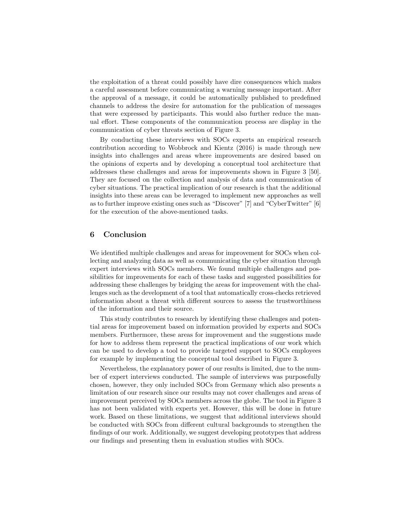the exploitation of a threat could possibly have dire consequences which makes a careful assessment before communicating a warning message important. After the approval of a message, it could be automatically published to predefined channels to address the desire for automation for the publication of messages that were expressed by participants. This would also further reduce the manual effort. These components of the communication process are display in the communication of cyber threats section of Figure 3.

By conducting these interviews with SOCs experts an empirical research contribution according to Wobbrock and Kientz (2016) is made through new insights into challenges and areas where improvements are desired based on the opinions of experts and by developing a conceptual tool architecture that addresses these challenges and areas for improvements shown in Figure 3 [50]. They are focused on the collection and analysis of data and communication of cyber situations. The practical implication of our research is that the additional insights into these areas can be leveraged to implement new approaches as well as to further improve existing ones such as "Discover" [7] and "CyberTwitter" [6] for the execution of the above-mentioned tasks.

#### 6 Conclusion

We identified multiple challenges and areas for improvement for SOCs when collecting and analyzing data as well as communicating the cyber situation through expert interviews with SOCs members. We found multiple challenges and possibilities for improvements for each of these tasks and suggested possibilities for addressing these challenges by bridging the areas for improvement with the challenges such as the development of a tool that automatically cross-checks retrieved information about a threat with different sources to assess the trustworthiness of the information and their source.

This study contributes to research by identifying these challenges and potential areas for improvement based on information provided by experts and SOCs members. Furthermore, these areas for improvement and the suggestions made for how to address them represent the practical implications of our work which can be used to develop a tool to provide targeted support to SOCs employees for example by implementing the conceptual tool described in Figure 3.

Nevertheless, the explanatory power of our results is limited, due to the number of expert interviews conducted. The sample of interviews was purposefully chosen, however, they only included SOCs from Germany which also presents a limitation of our research since our results may not cover challenges and areas of improvement perceived by SOCs members across the globe. The tool in Figure 3 has not been validated with experts yet. However, this will be done in future work. Based on these limitations, we suggest that additional interviews should be conducted with SOCs from different cultural backgrounds to strengthen the findings of our work. Additionally, we suggest developing prototypes that address our findings and presenting them in evaluation studies with SOCs.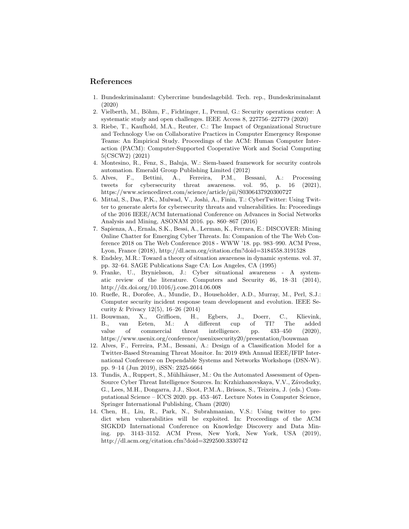#### References

- 1. Bundeskriminalamt: Cybercrime bundeslagebild. Tech. rep., Bundeskriminalamt (2020)
- 2. Vielberth, M., Böhm, F., Fichtinger, I., Pernul, G.: Security operations center: A systematic study and open challenges. IEEE Access 8, 227756–227779 (2020)
- 3. Riebe, T., Kaufhold, M.A., Reuter, C.: The Impact of Organizational Structure and Technology Use on Collaborative Practices in Computer Emergency Response Teams: An Empirical Study. Proceedings of the ACM: Human Computer Interaction (PACM): Computer-Supported Cooperative Work and Social Computing 5(CSCW2) (2021)
- 4. Montesino, R., Fenz, S., Baluja, W.: Siem-based framework for security controls automation. Emerald Group Publishing Limited (2012)
- 5. Alves, F., Bettini, A., Ferreira, P.M., Bessani, A.: Processing tweets for cybersecurity threat awareness. vol. 95, p. 16 (2021), https://www.sciencedirect.com/science/article/pii/S0306437920300727
- 6. Mittal, S., Das, P.K., Mulwad, V., Joshi, A., Finin, T.: CyberTwitter: Using Twitter to generate alerts for cybersecurity threats and vulnerabilities. In: Proceedings of the 2016 IEEE/ACM International Conference on Advances in Social Networks Analysis and Mining, ASONAM 2016. pp. 860–867 (2016)
- 7. Sapienza, A., Ernala, S.K., Bessi, A., Lerman, K., Ferrara, E.: DISCOVER: Mining Online Chatter for Emerging Cyber Threats. In: Companion of the The Web Conference 2018 on The Web Conference 2018 - WWW '18. pp. 983–990. ACM Press, Lyon, France (2018), http://dl.acm.org/citation.cfm?doid=3184558.3191528
- 8. Endsley, M.R.: Toward a theory of situation awareness in dynamic systems. vol. 37, pp. 32–64. SAGE Publications Sage CA: Los Angeles, CA (1995)
- 9. Franke, U., Brynielsson, J.: Cyber situational awareness A systematic review of the literature. Computers and Security 46, 18–31 (2014), http://dx.doi.org/10.1016/j.cose.2014.06.008
- 10. Ruefle, R., Dorofee, A., Mundie, D., Householder, A.D., Murray, M., Perl, S.J.: Computer security incident response team development and evolution. IEEE Security & Privacy 12(5), 16–26 (2014)
- 11. Bouwman, X., Griffioen, H., Egbers, J., Doerr, C., Klievink, B., van Eeten, M.: A different cup of TI? The added value of commercial threat intelligence. pp. 433–450 (2020), https://www.usenix.org/conference/usenixsecurity20/presentation/bouwman
- 12. Alves, F., Ferreira, P.M., Bessani, A.: Design of a Classification Model for a Twitter-Based Streaming Threat Monitor. In: 2019 49th Annual IEEE/IFIP International Conference on Dependable Systems and Networks Workshops (DSN-W). pp. 9–14 (Jun 2019), iSSN: 2325-6664
- 13. Tundis, A., Ruppert, S., Mühlhäuser, M.: On the Automated Assessment of Open-Source Cyber Threat Intelligence Sources. In: Krzhizhanovskaya, V.V., Závodszky, G., Lees, M.H., Dongarra, J.J., Sloot, P.M.A., Brissos, S., Teixeira, J. (eds.) Computational Science – ICCS 2020. pp. 453–467. Lecture Notes in Computer Science, Springer International Publishing, Cham (2020)
- 14. Chen, H., Liu, R., Park, N., Subrahmanian, V.S.: Using twitter to predict when vulnerabilities will be exploited. In: Proceedings of the ACM SIGKDD International Conference on Knowledge Discovery and Data Mining. pp. 3143–3152. ACM Press, New York, New York, USA (2019), http://dl.acm.org/citation.cfm?doid=3292500.3330742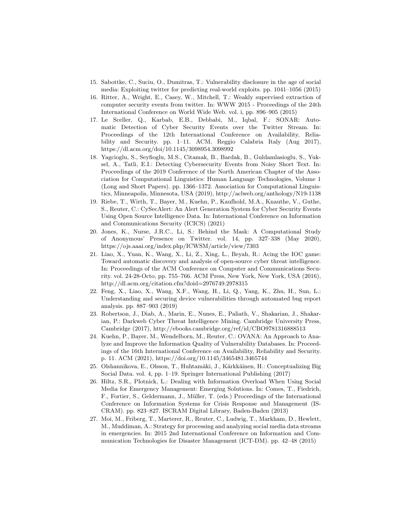- 15. Sabottke, C., Suciu, O., Dumitras, T.: Vulnerability disclosure in the age of social media: Exploiting twitter for predicting real-world exploits. pp. 1041–1056 (2015)
- 16. Ritter, A., Wright, E., Casey, W., Mitchell, T.: Weakly supervised extraction of computer security events from twitter. In: WWW 2015 - Proceedings of the 24th International Conference on World Wide Web. vol. i, pp. 896–905 (2015)
- 17. Le Sceller, Q., Karbab, E.B., Debbabi, M., Iqbal, F.: SONAR: Automatic Detection of Cyber Security Events over the Twitter Stream. In: Proceedings of the 12th International Conference on Availability, Reliability and Security. pp. 1–11. ACM, Reggio Calabria Italy (Aug 2017), https://dl.acm.org/doi/10.1145/3098954.3098992
- 18. Yagcioglu, S., Seyfioglu, M.S., Citamak, B., Bardak, B., Guldamlasioglu, S., Yuksel, A., Tatli, E.I.: Detecting Cybersecurity Events from Noisy Short Text. In: Proceedings of the 2019 Conference of the North American Chapter of the Association for Computational Linguistics: Human Language Technologies, Volume 1 (Long and Short Papers). pp. 1366–1372. Association for Computational Linguistics, Minneapolis, Minnesota, USA (2019), http://aclweb.org/anthology/N19-1138
- 19. Riebe, T., Wirth, T., Bayer, M., Kuehn, P., Kaufhold, M.A., Knauthe, V., Guthe, S., Reuter, C.: CySecAlert: An Alert Generation System for Cyber Security Events Using Open Source Intelligence Data. In: International Conference on Information and Communications Security (ICICS) (2021)
- 20. Jones, K., Nurse, J.R.C., Li, S.: Behind the Mask: A Computational Study of Anonymous' Presence on Twitter. vol. 14, pp. 327–338 (May 2020), https://ojs.aaai.org/index.php/ICWSM/article/view/7303
- 21. Liao, X., Yuan, K., Wang, X., Li, Z., Xing, L., Beyah, R.: Acing the IOC game: Toward automatic discovery and analysis of open-source cyber threat intelligence. In: Proceedings of the ACM Conference on Computer and Communications Security. vol. 24-28-Octo, pp. 755–766. ACM Press, New York, New York, USA (2016), http://dl.acm.org/citation.cfm?doid=2976749.2978315
- 22. Feng, X., Liao, X., Wang, X.F., Wang, H., Li, Q., Yang, K., Zhu, H., Sun, L.: Understanding and securing device vulnerabilities through automated bug report analysis. pp. 887–903 (2019)
- 23. Robertson, J., Diab, A., Marin, E., Nunes, E., Paliath, V., Shakarian, J., Shakarian, P.: Darkweb Cyber Threat Intelligence Mining. Cambridge University Press, Cambridge (2017), http://ebooks.cambridge.org/ref/id/CBO9781316888513
- 24. Kuehn, P., Bayer, M., Wendelborn, M., Reuter, C.: OVANA: An Approach to Analyze and Improve the Information Quality of Vulnerability Databases. In: Proceedings of the 16th International Conference on Availability, Reliability and Security. p. 11. ACM (2021), https://doi.org/10.1145/3465481.3465744
- 25. Olshannikova, E., Olsson, T., Huhtamäki, J., Kärkkäinen, H.: Conceptualizing Big Social Data. vol. 4, pp. 1–19. Springer International Publishing (2017)
- 26. Hiltz, S.R., Plotnick, L.: Dealing with Information Overload When Using Social Media for Emergency Management: Emerging Solutions. In: Comes, T., Fiedrich, F., Fortier, S., Geldermann, J., M¨uller, T. (eds.) Proceedings of the International Conference on Information Systems for Crisis Response and Management (IS-CRAM). pp. 823–827. ISCRAM Digital Library, Baden-Baden (2013)
- 27. Moi, M., Friberg, T., Marterer, R., Reuter, C., Ludwig, T., Markham, D., Hewlett, M., Muddiman, A.: Strategy for processing and analyzing social media data streams in emergencies. In: 2015 2nd International Conference on Information and Communication Technologies for Disaster Management (ICT-DM). pp. 42–48 (2015)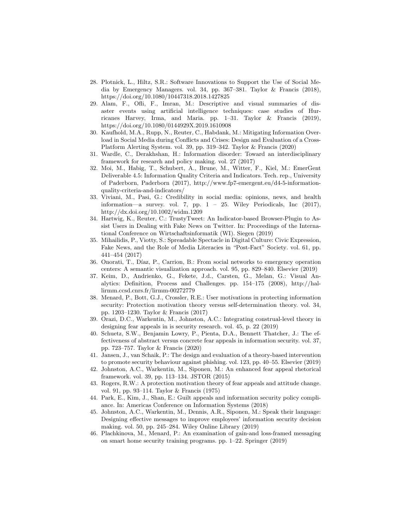- 28. Plotnick, L., Hiltz, S.R.: Software Innovations to Support the Use of Social Media by Emergency Managers. vol. 34, pp. 367–381. Taylor & Francis (2018), https://doi.org/10.1080/10447318.2018.1427825
- 29. Alam, F., Ofli, F., Imran, M.: Descriptive and visual summaries of disaster events using artificial intelligence techniques: case studies of Hurricanes Harvey, Irma, and Maria. pp. 1–31. Taylor & Francis (2019), https://doi.org/10.1080/0144929X.2019.1610908
- 30. Kaufhold, M.A., Rupp, N., Reuter, C., Habdank, M.: Mitigating Information Overload in Social Media during Conflicts and Crises: Design and Evaluation of a Cross-Platform Alerting System. vol. 39, pp. 319–342. Taylor & Francis (2020)
- 31. Wardle, C., Derakhshan, H.: Information disorder: Toward an interdisciplinary framework for research and policy making. vol. 27 (2017)
- 32. Moi, M., Habig, T., Schubert, A., Brune, M., Witter, F., Kiel, M.: EmerGent Deliverable 4.5: Information Quality Criteria and Indicators. Tech. rep., University of Paderborn, Paderborn (2017), http://www.fp7-emergent.eu/d4-5-informationquality-criteria-and-indicators/
- 33. Viviani, M., Pasi, G.: Credibility in social media: opinions, news, and health information—a survey. vol. 7, pp.  $1 - 25$ . Wiley Periodicals, Inc (2017), http://dx.doi.org/10.1002/widm.1209
- 34. Hartwig, K., Reuter, C.: TrustyTweet: An Indicator-based Browser-Plugin to Assist Users in Dealing with Fake News on Twitter. In: Proceedings of the International Conference on Wirtschaftsinformatik (WI). Siegen (2019)
- 35. Mihailidis, P., Viotty, S.: Spreadable Spectacle in Digital Culture: Civic Expression, Fake News, and the Role of Media Literacies in "Post-Fact" Society. vol. 61, pp. 441–454 (2017)
- 36. Onorati, T., Díaz, P., Carrion, B.: From social networks to emergency operation centers: A semantic visualization approach. vol. 95, pp. 829–840. Elsevier (2019)
- 37. Keim, D., Andrienko, G., Fekete, J.d., Carsten, G., Melan, G.: Visual Analytics: Definition, Process and Challenges. pp. 154–175 (2008), http://hallirmm.ccsd.cnrs.fr/lirmm-00272779
- 38. Menard, P., Bott, G.J., Crossler, R.E.: User motivations in protecting information security: Protection motivation theory versus self-determination theory. vol. 34, pp. 1203–1230. Taylor & Francis (2017)
- 39. Orazi, D.C., Warkentin, M., Johnston, A.C.: Integrating construal-level theory in designing fear appeals in is security research. vol. 45, p. 22 (2019)
- 40. Schuetz, S.W., Benjamin Lowry, P., Pienta, D.A., Bennett Thatcher, J.: The effectiveness of abstract versus concrete fear appeals in information security. vol. 37, pp. 723–757. Taylor & Francis (2020)
- 41. Jansen, J., van Schaik, P.: The design and evaluation of a theory-based intervention to promote security behaviour against phishing. vol. 123, pp. 40–55. Elsevier (2019)
- 42. Johnston, A.C., Warkentin, M., Siponen, M.: An enhanced fear appeal rhetorical framework. vol. 39, pp. 113–134. JSTOR (2015)
- 43. Rogers, R.W.: A protection motivation theory of fear appeals and attitude change. vol. 91, pp. 93–114. Taylor & Francis (1975)
- 44. Park, E., Kim, J., Shan, E.: Guilt appeals and information security policy compliance. In: Americas Conference on Information Systems (2018)
- 45. Johnston, A.C., Warkentin, M., Dennis, A.R., Siponen, M.: Speak their language: Designing effective messages to improve employees' information security decision making. vol. 50, pp. 245–284. Wiley Online Library (2019)
- 46. Plachkinova, M., Menard, P.: An examination of gain-and loss-framed messaging on smart home security training programs. pp. 1–22. Springer (2019)